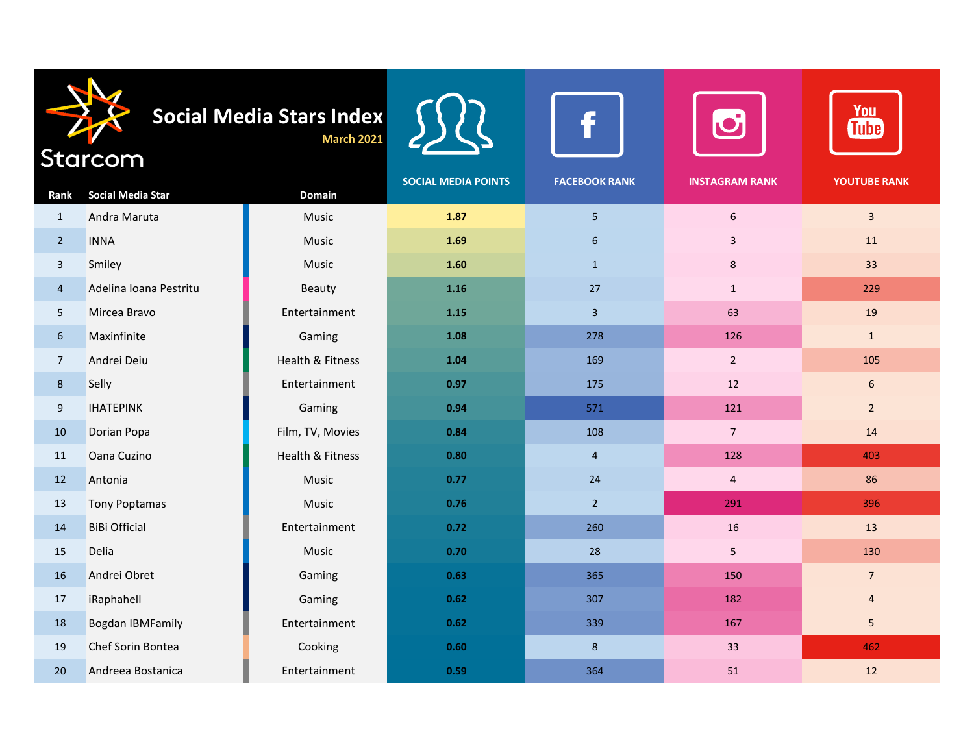| Social Media Stars Index<br><b>March 2021</b><br>Starcom |                          |                  |                            |                      | You<br><b>Tube</b>    |                     |
|----------------------------------------------------------|--------------------------|------------------|----------------------------|----------------------|-----------------------|---------------------|
| Rank                                                     | <b>Social Media Star</b> | <b>Domain</b>    | <b>SOCIAL MEDIA POINTS</b> | <b>FACEBOOK RANK</b> | <b>INSTAGRAM RANK</b> | <b>YOUTUBE RANK</b> |
| $\mathbf{1}$                                             | Andra Maruta             | Music            | 1.87                       | 5 <sub>5</sub>       | $6\,$                 | $\overline{3}$      |
| $\overline{2}$                                           | <b>INNA</b>              | Music            | 1.69                       | 6                    | 3                     | 11                  |
| $\overline{\mathbf{3}}$                                  | Smiley                   | Music            | 1.60                       | $\mathbf{1}$         | 8                     | 33                  |
| $\overline{4}$                                           | Adelina Ioana Pestritu   | Beauty           | 1.16                       | 27                   | $\mathbf{1}$          | 229                 |
| 5                                                        | Mircea Bravo             | Entertainment    | 1.15                       | $\mathbf{3}$         | 63                    | 19                  |
| 6                                                        | Maxinfinite              | Gaming           | 1.08                       | 278                  | 126                   | $\mathbf{1}$        |
| $\overline{7}$                                           | Andrei Deiu              | Health & Fitness | 1.04                       | 169                  | $\overline{2}$        | 105                 |
| $8\phantom{1}$                                           | Selly                    | Entertainment    | 0.97                       | 175                  | 12                    | $6\,$               |
| $\boldsymbol{9}$                                         | <b>IHATEPINK</b>         | Gaming           | 0.94                       | 571                  | 121                   | $2^{\circ}$         |
| 10                                                       | Dorian Popa              | Film, TV, Movies | 0.84                       | 108                  | $7^{\circ}$           | 14                  |
| 11                                                       | Oana Cuzino              | Health & Fitness | 0.80                       | $\overline{4}$       | 128                   | 403                 |
| 12                                                       | Antonia                  | Music            | 0.77                       | 24                   | $\overline{4}$        | 86                  |
| 13                                                       | <b>Tony Poptamas</b>     | Music            | 0.76                       | $\overline{2}$       | 291                   | 396                 |
| 14                                                       | <b>BiBi Official</b>     | Entertainment    | 0.72                       | 260                  | 16                    | 13                  |
| 15                                                       | Delia                    | Music            | 0.70                       | 28                   | 5                     | 130                 |
| 16                                                       | Andrei Obret             | Gaming           | 0.63                       | 365                  | 150                   | $\overline{7}$      |
| 17                                                       | iRaphahell               | Gaming           | 0.62                       | 307                  | 182                   | $\overline{4}$      |
| 18                                                       | <b>Bogdan IBMFamily</b>  | Entertainment    | 0.62                       | 339                  | 167                   | 5                   |
| 19                                                       | Chef Sorin Bontea        | Cooking          | 0.60                       | $\boldsymbol{8}$     | 33                    | 462                 |
| 20                                                       | Andreea Bostanica        | Entertainment    | 0.59                       | 364                  | 51                    | 12                  |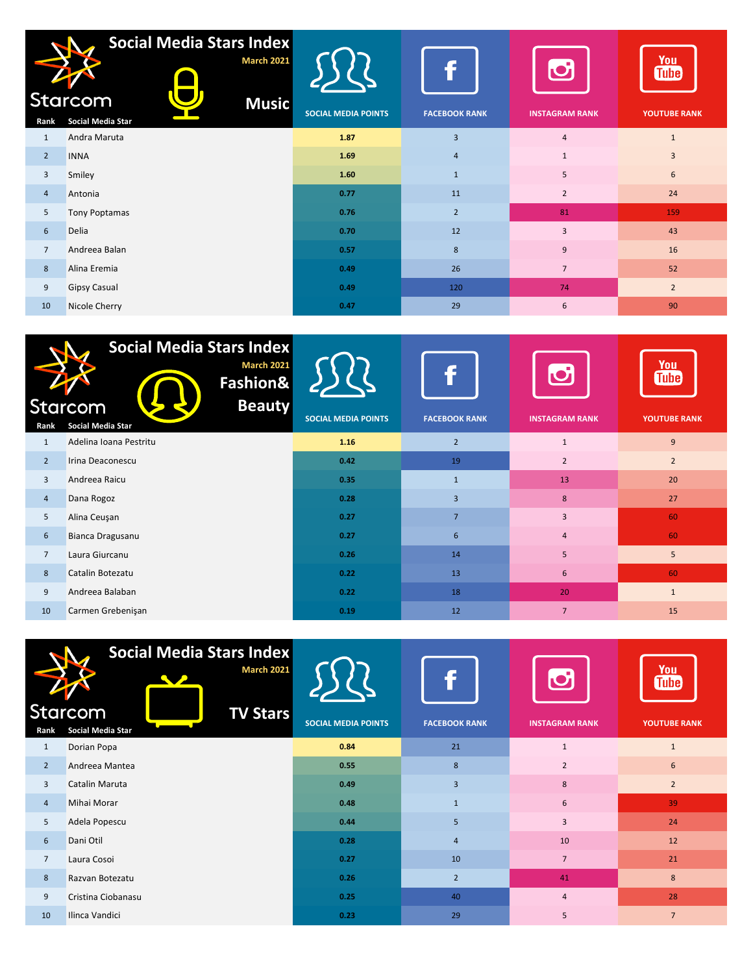|                 | <b>Social Media Stars Index</b><br><b>March 2021</b><br>Starcom<br><b>Music</b> |                            |                      |                       | You<br><b>Tube</b>  |
|-----------------|---------------------------------------------------------------------------------|----------------------------|----------------------|-----------------------|---------------------|
| Rank            | Social Media Star                                                               | <b>SOCIAL MEDIA POINTS</b> | <b>FACEBOOK RANK</b> | <b>INSTAGRAM RANK</b> | <b>YOUTUBE RANK</b> |
| $\mathbf{1}$    | Andra Maruta                                                                    | 1.87                       | $\overline{3}$       | $\overline{4}$        | $\mathbf{1}$        |
| $\overline{2}$  | <b>INNA</b>                                                                     | 1.69                       | $\overline{4}$       | $\mathbf{1}$          | 3                   |
| $\overline{3}$  | Smiley                                                                          | 1.60                       | $\mathbf{1}$         | 5                     | 6                   |
| $\overline{4}$  | Antonia                                                                         | 0.77                       | 11                   | $\overline{2}$        | 24                  |
| 5               | Tony Poptamas                                                                   | 0.76                       | $\overline{2}$       | 81                    | 159                 |
| $6\overline{6}$ | <b>Delia</b>                                                                    | 0.70                       | 12                   | $\overline{3}$        | 43                  |
| $\overline{7}$  | Andreea Balan                                                                   | 0.57                       | 8                    | $\overline{9}$        | 16                  |
| 8               | Alina Eremia                                                                    | 0.49                       | 26                   | $\overline{7}$        | 52                  |
| 9               | <b>Gipsy Casual</b>                                                             | 0.49                       | 120                  | 74                    | $\overline{2}$      |
| 10              | Nicole Cherry                                                                   | 0.47                       | 29                   | 6                     | 90                  |

|                | <b>Social Media Stars Index</b><br><b>March 2021</b><br>Fashion&<br>Starcom<br><b>Beauty</b> |                            | f                    | M                     | <b>You</b><br><b>Tube</b> |
|----------------|----------------------------------------------------------------------------------------------|----------------------------|----------------------|-----------------------|---------------------------|
| Rank           | Social Media Star                                                                            | <b>SOCIAL MEDIA POINTS</b> | <b>FACEBOOK RANK</b> | <b>INSTAGRAM RANK</b> | <b>YOUTUBE RANK</b>       |
| 1              | Adelina Ioana Pestritu                                                                       | 1.16                       | $\overline{2}$       | $\mathbf{1}$          | 9                         |
| 2              | Irina Deaconescu                                                                             | 0.42                       | 19                   | $\overline{2}$        | $\overline{2}$            |
| $\overline{3}$ | Andreea Raicu                                                                                | 0.35                       | $\mathbf{1}$         | 13                    | 20                        |
| $\overline{4}$ | Dana Rogoz                                                                                   | 0.28                       | $\overline{3}$       | 8                     | 27                        |
| 5              | Alina Ceuşan                                                                                 | 0.27                       | $\overline{7}$       | $\overline{3}$        | 60                        |
| 6              | Bianca Dragusanu                                                                             | 0.27                       | 6                    | $\overline{4}$        | 60                        |
| $\overline{7}$ | Laura Giurcanu                                                                               | 0.26                       | 14                   | 5                     | 5                         |
| 8              | Catalin Botezatu                                                                             | 0.22                       | 13                   | 6                     | 60                        |
| 9              | Andreea Balaban                                                                              | 0.22                       | 18                   | 20                    | $\mathbf{1}$              |
| 10             | Carmen Grebenişan                                                                            | 0.19                       | 12                   | $\overline{7}$        | 15                        |

|                | <b>Social Media Stars Index</b><br><b>March 2021</b> |                            |                         | <b>D</b>              | <u>You</u><br><b>Tube</b> |
|----------------|------------------------------------------------------|----------------------------|-------------------------|-----------------------|---------------------------|
|                | Starcom<br><b>TV Stars</b>                           | <b>SOCIAL MEDIA POINTS</b> | <b>FACEBOOK RANK</b>    | <b>INSTAGRAM RANK</b> | <b>YOUTUBE RANK</b>       |
| Rank           | <b>Social Media Star</b>                             |                            |                         |                       |                           |
| $\mathbf{1}$   | Dorian Popa                                          | 0.84                       | 21                      | $\mathbf{1}$          | $\mathbf{1}$              |
| 2              | Andreea Mantea                                       | 0.55                       | 8                       | $\overline{2}$        | 6                         |
| 3              | Catalin Maruta                                       | 0.49                       | $\overline{\mathbf{3}}$ | 8                     | $\overline{2}$            |
| $\overline{4}$ | Mihai Morar                                          | 0.48                       | $\mathbf{1}$            | 6                     | 39                        |
| 5              | Adela Popescu                                        | 0.44                       | 5                       | $\overline{3}$        | 24                        |
| 6              | Dani Otil                                            | 0.28                       | $\overline{4}$          | 10                    | 12                        |
| $\overline{7}$ | Laura Cosoi                                          | 0.27                       | 10                      | $\overline{7}$        | 21                        |
| 8              | Razvan Botezatu                                      | 0.26                       | $\overline{2}$          | 41                    | 8                         |
| 9              | Cristina Ciobanasu                                   | 0.25                       | 40                      | $\overline{4}$        | 28                        |
| 10             | Ilinca Vandici                                       | 0.23                       | 29                      | 5                     | $\overline{7}$            |